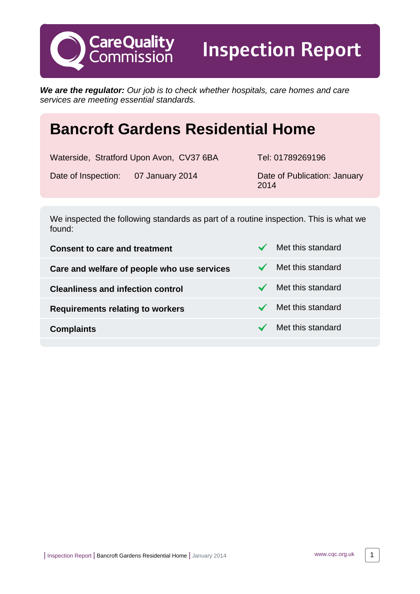**We are the regulator:** Our job is to check whether hospitals, care homes and care services are meeting essential standards.

# **Bancroft Gardens Residential Home**

Waterside, Stratford Upon Avon, CV37 6BA Tel: 01789269196

**CareQuality**<br>Commission

Inspection Report

Date of Inspection: 07 January 2014 Date of Publication: January

2014

We inspected the following standards as part of a routine inspection. This is what we found:

**Consent to care and treatment** Met this standard **Care and welfare of people who use services**  $\checkmark$  Met this standard **Cleanliness and infection control Weight Cleanliness and infection control Requirements relating to workers** Met this standard **Complaints** Met this standard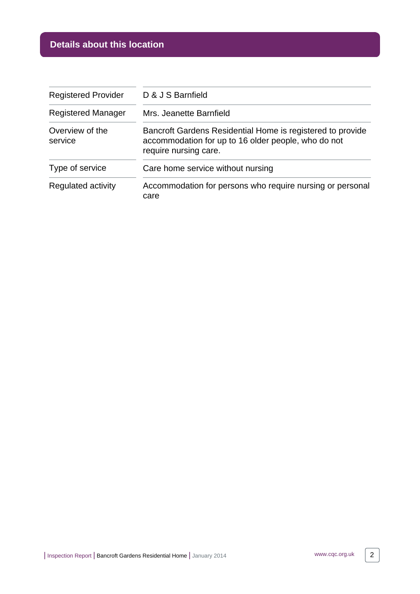# **Details about this location**

| <b>Registered Provider</b> | D & J S Barnfield                                                                                                                          |
|----------------------------|--------------------------------------------------------------------------------------------------------------------------------------------|
| <b>Registered Manager</b>  | Mrs. Jeanette Barnfield                                                                                                                    |
| Overview of the<br>service | Bancroft Gardens Residential Home is registered to provide<br>accommodation for up to 16 older people, who do not<br>require nursing care. |
| Type of service            | Care home service without nursing                                                                                                          |
| Regulated activity         | Accommodation for persons who require nursing or personal<br>care                                                                          |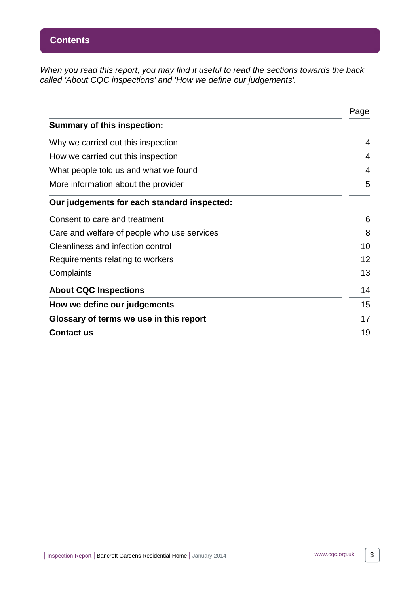When you read this report, you may find it useful to read the sections towards the back called 'About CQC inspections' and 'How we define our judgements'.

|                                             | Page |
|---------------------------------------------|------|
| <b>Summary of this inspection:</b>          |      |
| Why we carried out this inspection          | 4    |
| How we carried out this inspection          | 4    |
| What people told us and what we found       | 4    |
| More information about the provider         | 5    |
| Our judgements for each standard inspected: |      |
| Consent to care and treatment               | 6    |
| Care and welfare of people who use services | 8    |
| Cleanliness and infection control           | 10   |
| Requirements relating to workers            | 12   |
| Complaints                                  | 13   |
| <b>About CQC Inspections</b>                | 14   |
| How we define our judgements                | 15   |
| Glossary of terms we use in this report     | 17   |
| <b>Contact us</b>                           | 19   |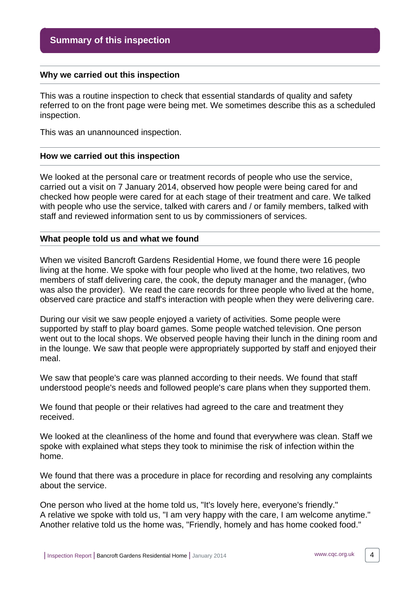#### <span id="page-3-0"></span>**Why we carried out this inspection**

This was a routine inspection to check that essential standards of quality and safety referred to on the front page were being met. We sometimes describe this as a scheduled inspection.

This was an unannounced inspection.

#### <span id="page-3-1"></span>**How we carried out this inspection**

We looked at the personal care or treatment records of people who use the service, carried out a visit on 7 January 2014, observed how people were being cared for and checked how people were cared for at each stage of their treatment and care. We talked with people who use the service, talked with carers and / or family members, talked with staff and reviewed information sent to us by commissioners of services.

#### <span id="page-3-2"></span>**What people told us and what we found**

When we visited Bancroft Gardens Residential Home, we found there were 16 people living at the home. We spoke with four people who lived at the home, two relatives, two members of staff delivering care, the cook, the deputy manager and the manager, (who was also the provider). We read the care records for three people who lived at the home, observed care practice and staff's interaction with people when they were delivering care.

During our visit we saw people enjoyed a variety of activities. Some people were supported by staff to play board games. Some people watched television. One person went out to the local shops. We observed people having their lunch in the dining room and in the lounge. We saw that people were appropriately supported by staff and enjoyed their meal.

We saw that people's care was planned according to their needs. We found that staff understood people's needs and followed people's care plans when they supported them.

We found that people or their relatives had agreed to the care and treatment they received.

We looked at the cleanliness of the home and found that everywhere was clean. Staff we spoke with explained what steps they took to minimise the risk of infection within the home.

We found that there was a procedure in place for recording and resolving any complaints about the service.

One person who lived at the home told us, "It's lovely here, everyone's friendly." A relative we spoke with told us, "I am very happy with the care, I am welcome anytime." Another relative told us the home was, "Friendly, homely and has home cooked food."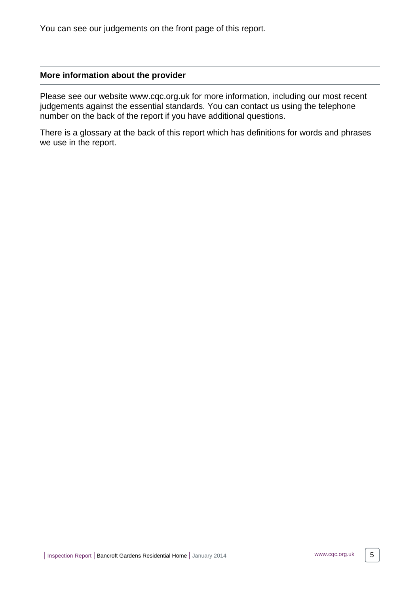You can see our judgements on the front page of this report.

#### <span id="page-4-0"></span>**More information about the provider**

Please see our website www.cqc.org.uk for more information, including our most recent judgements against the essential standards. You can contact us using the telephone number on the back of the report if you have additional questions.

There is a glossary at the back of this report which has definitions for words and phrases we use in the report.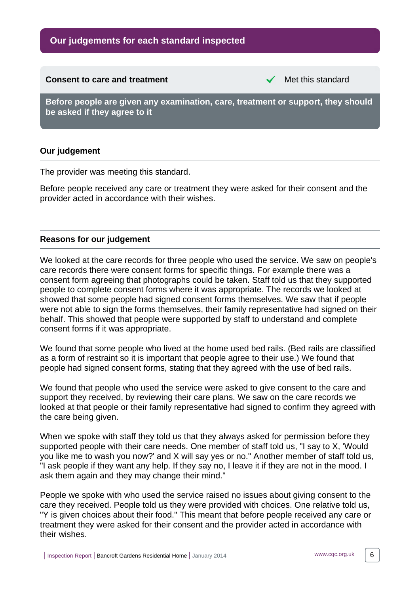

#### <span id="page-5-0"></span>**Consent to care and treatment** Met this standard

**Before people are given any examination, care, treatment or support, they should be asked if they agree to it**

#### **Our judgement**

The provider was meeting this standard.

Before people received any care or treatment they were asked for their consent and the provider acted in accordance with their wishes.

#### **Reasons for our judgement**

We looked at the care records for three people who used the service. We saw on people's care records there were consent forms for specific things. For example there was a consent form agreeing that photographs could be taken. Staff told us that they supported people to complete consent forms where it was appropriate. The records we looked at showed that some people had signed consent forms themselves. We saw that if people were not able to sign the forms themselves, their family representative had signed on their behalf. This showed that people were supported by staff to understand and complete consent forms if it was appropriate.

We found that some people who lived at the home used bed rails. (Bed rails are classified as a form of restraint so it is important that people agree to their use.) We found that people had signed consent forms, stating that they agreed with the use of bed rails.

We found that people who used the service were asked to give consent to the care and support they received, by reviewing their care plans. We saw on the care records we looked at that people or their family representative had signed to confirm they agreed with the care being given.

When we spoke with staff they told us that they always asked for permission before they supported people with their care needs. One member of staff told us, "I say to X, 'Would you like me to wash you now?' and X will say yes or no." Another member of staff told us, "I ask people if they want any help. If they say no, I leave it if they are not in the mood. I ask them again and they may change their mind."

People we spoke with who used the service raised no issues about giving consent to the care they received. People told us they were provided with choices. One relative told us, "Y is given choices about their food." This meant that before people received any care or treatment they were asked for their consent and the provider acted in accordance with their wishes.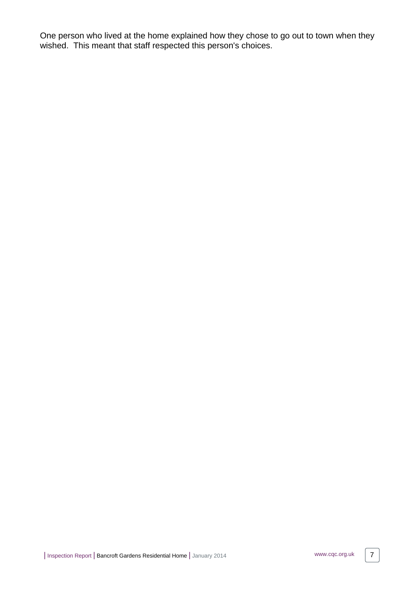One person who lived at the home explained how they chose to go out to town when they wished. This meant that staff respected this person's choices.

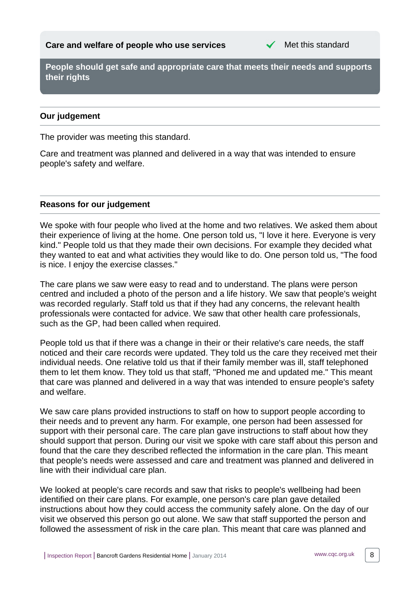

<span id="page-7-0"></span>**People should get safe and appropriate care that meets their needs and supports their rights**

#### **Our judgement**

The provider was meeting this standard.

Care and treatment was planned and delivered in a way that was intended to ensure people's safety and welfare.

#### **Reasons for our judgement**

We spoke with four people who lived at the home and two relatives. We asked them about their experience of living at the home. One person told us, "I love it here. Everyone is very kind." People told us that they made their own decisions. For example they decided what they wanted to eat and what activities they would like to do. One person told us, "The food is nice. I enjoy the exercise classes."

The care plans we saw were easy to read and to understand. The plans were person centred and included a photo of the person and a life history. We saw that people's weight was recorded regularly. Staff told us that if they had any concerns, the relevant health professionals were contacted for advice. We saw that other health care professionals, such as the GP, had been called when required.

People told us that if there was a change in their or their relative's care needs, the staff noticed and their care records were updated. They told us the care they received met their individual needs. One relative told us that if their family member was ill, staff telephoned them to let them know. They told us that staff, "Phoned me and updated me." This meant that care was planned and delivered in a way that was intended to ensure people's safety and welfare.

We saw care plans provided instructions to staff on how to support people according to their needs and to prevent any harm. For example, one person had been assessed for support with their personal care. The care plan gave instructions to staff about how they should support that person. During our visit we spoke with care staff about this person and found that the care they described reflected the information in the care plan. This meant that people's needs were assessed and care and treatment was planned and delivered in line with their individual care plan.

We looked at people's care records and saw that risks to people's wellbeing had been identified on their care plans. For example, one person's care plan gave detailed instructions about how they could access the community safely alone. On the day of our visit we observed this person go out alone. We saw that staff supported the person and followed the assessment of risk in the care plan. This meant that care was planned and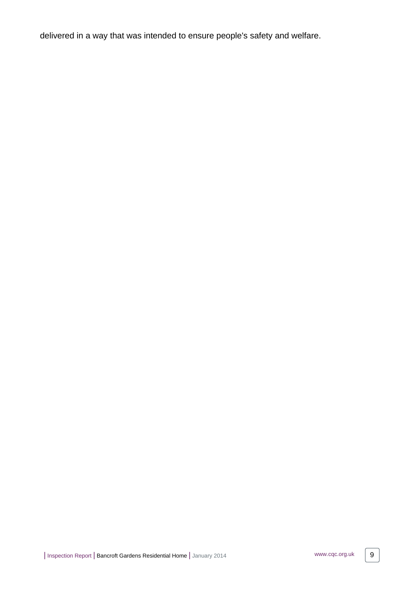delivered in a way that was intended to ensure people's safety and welfare.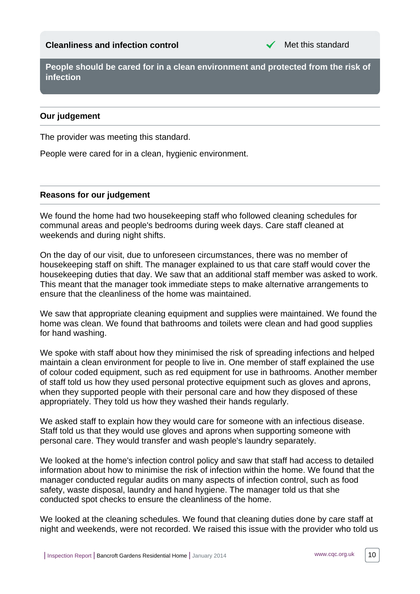

<span id="page-9-0"></span>**People should be cared for in a clean environment and protected from the risk of infection**

#### **Our judgement**

The provider was meeting this standard.

People were cared for in a clean, hygienic environment.

#### **Reasons for our judgement**

We found the home had two housekeeping staff who followed cleaning schedules for communal areas and people's bedrooms during week days. Care staff cleaned at weekends and during night shifts.

On the day of our visit, due to unforeseen circumstances, there was no member of housekeeping staff on shift. The manager explained to us that care staff would cover the housekeeping duties that day. We saw that an additional staff member was asked to work. This meant that the manager took immediate steps to make alternative arrangements to ensure that the cleanliness of the home was maintained.

We saw that appropriate cleaning equipment and supplies were maintained. We found the home was clean. We found that bathrooms and toilets were clean and had good supplies for hand washing.

We spoke with staff about how they minimised the risk of spreading infections and helped maintain a clean environment for people to live in. One member of staff explained the use of colour coded equipment, such as red equipment for use in bathrooms. Another member of staff told us how they used personal protective equipment such as gloves and aprons, when they supported people with their personal care and how they disposed of these appropriately. They told us how they washed their hands regularly.

We asked staff to explain how they would care for someone with an infectious disease. Staff told us that they would use gloves and aprons when supporting someone with personal care. They would transfer and wash people's laundry separately.

We looked at the home's infection control policy and saw that staff had access to detailed information about how to minimise the risk of infection within the home. We found that the manager conducted regular audits on many aspects of infection control, such as food safety, waste disposal, laundry and hand hygiene. The manager told us that she conducted spot checks to ensure the cleanliness of the home.

We looked at the cleaning schedules. We found that cleaning duties done by care staff at night and weekends, were not recorded. We raised this issue with the provider who told us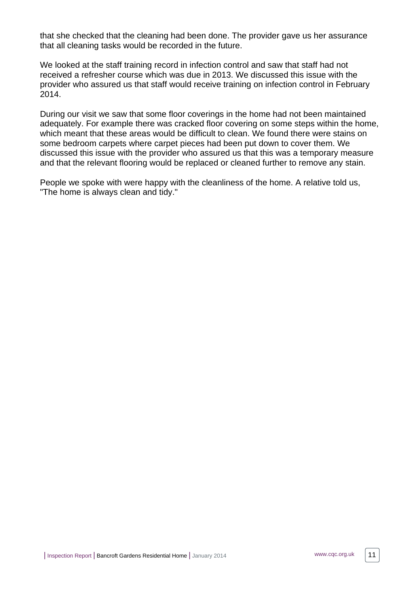that she checked that the cleaning had been done. The provider gave us her assurance that all cleaning tasks would be recorded in the future.

We looked at the staff training record in infection control and saw that staff had not received a refresher course which was due in 2013. We discussed this issue with the provider who assured us that staff would receive training on infection control in February 2014.

During our visit we saw that some floor coverings in the home had not been maintained adequately. For example there was cracked floor covering on some steps within the home, which meant that these areas would be difficult to clean. We found there were stains on some bedroom carpets where carpet pieces had been put down to cover them. We discussed this issue with the provider who assured us that this was a temporary measure and that the relevant flooring would be replaced or cleaned further to remove any stain.

People we spoke with were happy with the cleanliness of the home. A relative told us, "The home is always clean and tidy."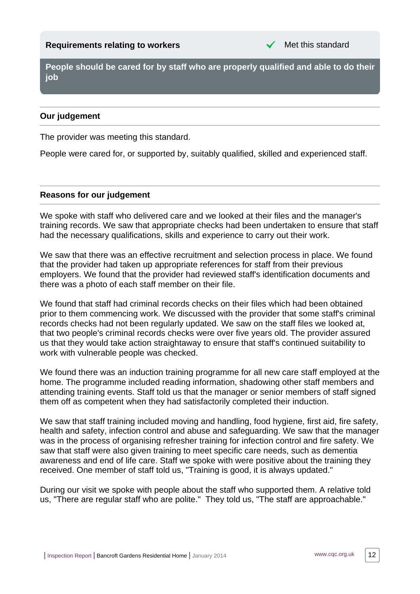<span id="page-11-0"></span>**People should be cared for by staff who are properly qualified and able to do their job**

#### **Our judgement**

The provider was meeting this standard.

People were cared for, or supported by, suitably qualified, skilled and experienced staff.

#### **Reasons for our judgement**

We spoke with staff who delivered care and we looked at their files and the manager's training records. We saw that appropriate checks had been undertaken to ensure that staff had the necessary qualifications, skills and experience to carry out their work.

We saw that there was an effective recruitment and selection process in place. We found that the provider had taken up appropriate references for staff from their previous employers. We found that the provider had reviewed staff's identification documents and there was a photo of each staff member on their file.

We found that staff had criminal records checks on their files which had been obtained prior to them commencing work. We discussed with the provider that some staff's criminal records checks had not been regularly updated. We saw on the staff files we looked at, that two people's criminal records checks were over five years old. The provider assured us that they would take action straightaway to ensure that staff's continued suitability to work with vulnerable people was checked.

We found there was an induction training programme for all new care staff employed at the home. The programme included reading information, shadowing other staff members and attending training events. Staff told us that the manager or senior members of staff signed them off as competent when they had satisfactorily completed their induction.

We saw that staff training included moving and handling, food hygiene, first aid, fire safety, health and safety, infection control and abuse and safeguarding. We saw that the manager was in the process of organising refresher training for infection control and fire safety. We saw that staff were also given training to meet specific care needs, such as dementia awareness and end of life care. Staff we spoke with were positive about the training they received. One member of staff told us, "Training is good, it is always updated."

During our visit we spoke with people about the staff who supported them. A relative told us, "There are regular staff who are polite." They told us, "The staff are approachable."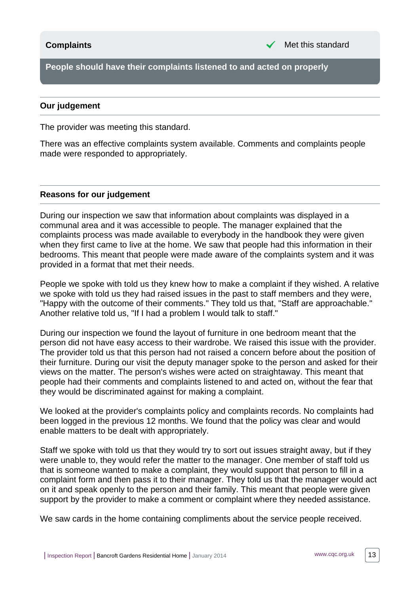<span id="page-12-0"></span>**People should have their complaints listened to and acted on properly**

#### **Our judgement**

The provider was meeting this standard.

There was an effective complaints system available. Comments and complaints people made were responded to appropriately.

#### **Reasons for our judgement**

During our inspection we saw that information about complaints was displayed in a communal area and it was accessible to people. The manager explained that the complaints process was made available to everybody in the handbook they were given when they first came to live at the home. We saw that people had this information in their bedrooms. This meant that people were made aware of the complaints system and it was provided in a format that met their needs.

People we spoke with told us they knew how to make a complaint if they wished. A relative we spoke with told us they had raised issues in the past to staff members and they were, "Happy with the outcome of their comments." They told us that, "Staff are approachable." Another relative told us, "If I had a problem I would talk to staff."

During our inspection we found the layout of furniture in one bedroom meant that the person did not have easy access to their wardrobe. We raised this issue with the provider. The provider told us that this person had not raised a concern before about the position of their furniture. During our visit the deputy manager spoke to the person and asked for their views on the matter. The person's wishes were acted on straightaway. This meant that people had their comments and complaints listened to and acted on, without the fear that they would be discriminated against for making a complaint.

We looked at the provider's complaints policy and complaints records. No complaints had been logged in the previous 12 months. We found that the policy was clear and would enable matters to be dealt with appropriately.

Staff we spoke with told us that they would try to sort out issues straight away, but if they were unable to, they would refer the matter to the manager. One member of staff told us that is someone wanted to make a complaint, they would support that person to fill in a complaint form and then pass it to their manager. They told us that the manager would act on it and speak openly to the person and their family. This meant that people were given support by the provider to make a comment or complaint where they needed assistance.

We saw cards in the home containing compliments about the service people received.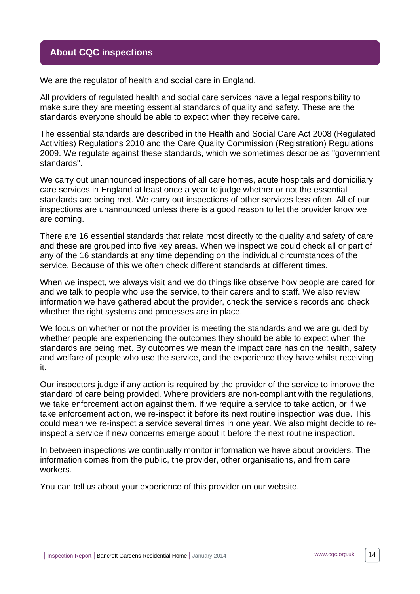#### <span id="page-13-0"></span>**About CQC inspections**

We are the regulator of health and social care in England.

All providers of regulated health and social care services have a legal responsibility to make sure they are meeting essential standards of quality and safety. These are the standards everyone should be able to expect when they receive care.

The essential standards are described in the Health and Social Care Act 2008 (Regulated Activities) Regulations 2010 and the Care Quality Commission (Registration) Regulations 2009. We regulate against these standards, which we sometimes describe as "government standards".

We carry out unannounced inspections of all care homes, acute hospitals and domiciliary care services in England at least once a year to judge whether or not the essential standards are being met. We carry out inspections of other services less often. All of our inspections are unannounced unless there is a good reason to let the provider know we are coming.

There are 16 essential standards that relate most directly to the quality and safety of care and these are grouped into five key areas. When we inspect we could check all or part of any of the 16 standards at any time depending on the individual circumstances of the service. Because of this we often check different standards at different times.

When we inspect, we always visit and we do things like observe how people are cared for, and we talk to people who use the service, to their carers and to staff. We also review information we have gathered about the provider, check the service's records and check whether the right systems and processes are in place.

We focus on whether or not the provider is meeting the standards and we are guided by whether people are experiencing the outcomes they should be able to expect when the standards are being met. By outcomes we mean the impact care has on the health, safety and welfare of people who use the service, and the experience they have whilst receiving it.

Our inspectors judge if any action is required by the provider of the service to improve the standard of care being provided. Where providers are non-compliant with the regulations, we take enforcement action against them. If we require a service to take action, or if we take enforcement action, we re-inspect it before its next routine inspection was due. This could mean we re-inspect a service several times in one year. We also might decide to reinspect a service if new concerns emerge about it before the next routine inspection.

In between inspections we continually monitor information we have about providers. The information comes from the public, the provider, other organisations, and from care workers.

You can tell us about your experience of this provider on our website.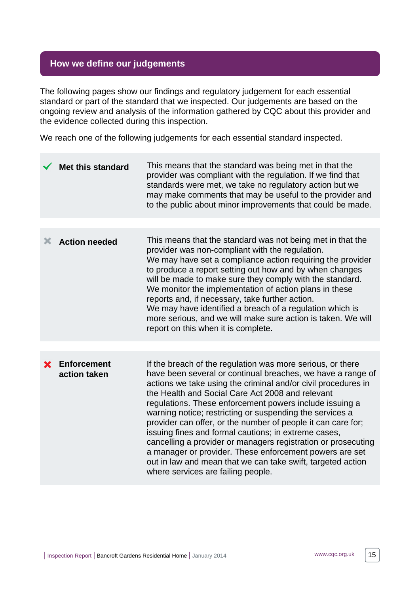## <span id="page-14-0"></span>**How we define our judgements**

The following pages show our findings and regulatory judgement for each essential standard or part of the standard that we inspected. Our judgements are based on the ongoing review and analysis of the information gathered by CQC about this provider and the evidence collected during this inspection.

We reach one of the following judgements for each essential standard inspected.

|   | <b>Met this standard</b>           | This means that the standard was being met in that the<br>provider was compliant with the regulation. If we find that<br>standards were met, we take no regulatory action but we<br>may make comments that may be useful to the provider and<br>to the public about minor improvements that could be made.                                                                                                                                                                                                                                                                                                                                                                                                                     |
|---|------------------------------------|--------------------------------------------------------------------------------------------------------------------------------------------------------------------------------------------------------------------------------------------------------------------------------------------------------------------------------------------------------------------------------------------------------------------------------------------------------------------------------------------------------------------------------------------------------------------------------------------------------------------------------------------------------------------------------------------------------------------------------|
|   |                                    |                                                                                                                                                                                                                                                                                                                                                                                                                                                                                                                                                                                                                                                                                                                                |
| Х | <b>Action needed</b>               | This means that the standard was not being met in that the<br>provider was non-compliant with the regulation.<br>We may have set a compliance action requiring the provider<br>to produce a report setting out how and by when changes<br>will be made to make sure they comply with the standard.<br>We monitor the implementation of action plans in these<br>reports and, if necessary, take further action.<br>We may have identified a breach of a regulation which is<br>more serious, and we will make sure action is taken. We will<br>report on this when it is complete.                                                                                                                                             |
|   |                                    |                                                                                                                                                                                                                                                                                                                                                                                                                                                                                                                                                                                                                                                                                                                                |
|   | <b>Enforcement</b><br>action taken | If the breach of the regulation was more serious, or there<br>have been several or continual breaches, we have a range of<br>actions we take using the criminal and/or civil procedures in<br>the Health and Social Care Act 2008 and relevant<br>regulations. These enforcement powers include issuing a<br>warning notice; restricting or suspending the services a<br>provider can offer, or the number of people it can care for;<br>issuing fines and formal cautions; in extreme cases,<br>cancelling a provider or managers registration or prosecuting<br>a manager or provider. These enforcement powers are set<br>out in law and mean that we can take swift, targeted action<br>where services are failing people. |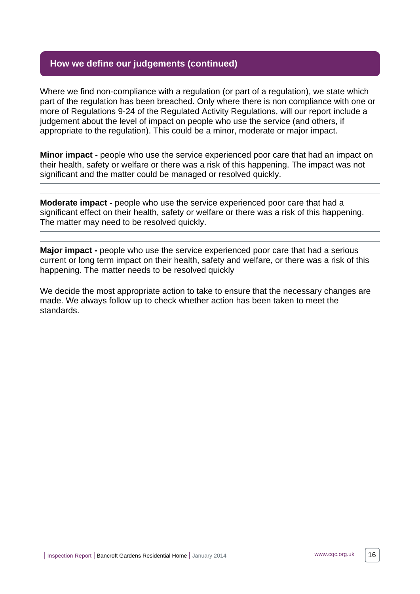### **How we define our judgements (continued)**

Where we find non-compliance with a regulation (or part of a regulation), we state which part of the regulation has been breached. Only where there is non compliance with one or more of Regulations 9-24 of the Regulated Activity Regulations, will our report include a judgement about the level of impact on people who use the service (and others, if appropriate to the regulation). This could be a minor, moderate or major impact.

**Minor impact -** people who use the service experienced poor care that had an impact on their health, safety or welfare or there was a risk of this happening. The impact was not significant and the matter could be managed or resolved quickly.

**Moderate impact -** people who use the service experienced poor care that had a significant effect on their health, safety or welfare or there was a risk of this happening. The matter may need to be resolved quickly.

**Major impact -** people who use the service experienced poor care that had a serious current or long term impact on their health, safety and welfare, or there was a risk of this happening. The matter needs to be resolved quickly

We decide the most appropriate action to take to ensure that the necessary changes are made. We always follow up to check whether action has been taken to meet the standards.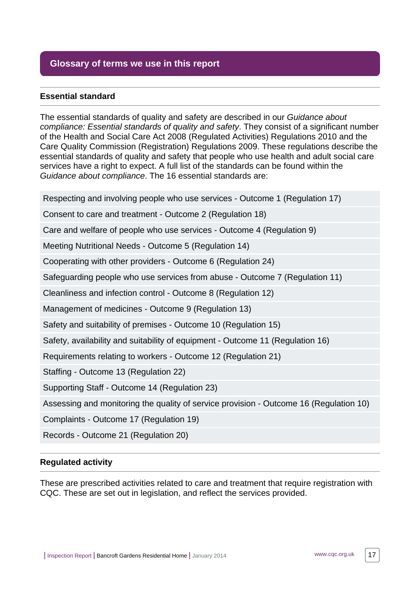#### <span id="page-16-0"></span>**Glossary of terms we use in this report**

#### **Essential standard**

The essential standards of quality and safety are described in our Guidance about compliance: Essential standards of quality and safety. They consist of a significant number of the Health and Social Care Act 2008 (Regulated Activities) Regulations 2010 and the Care Quality Commission (Registration) Regulations 2009. These regulations describe the essential standards of quality and safety that people who use health and adult social care services have a right to expect. A full list of the standards can be found within the Guidance about compliance. The 16 essential standards are:

Respecting and involving people who use services - Outcome 1 (Regulation 17)

Consent to care and treatment - Outcome 2 (Regulation 18)

Care and welfare of people who use services - Outcome 4 (Regulation 9)

Meeting Nutritional Needs - Outcome 5 (Regulation 14)

Cooperating with other providers - Outcome 6 (Regulation 24)

Safeguarding people who use services from abuse - Outcome 7 (Regulation 11)

Cleanliness and infection control - Outcome 8 (Regulation 12)

Management of medicines - Outcome 9 (Regulation 13)

Safety and suitability of premises - Outcome 10 (Regulation 15)

Safety, availability and suitability of equipment - Outcome 11 (Regulation 16)

Requirements relating to workers - Outcome 12 (Regulation 21)

Staffing - Outcome 13 (Regulation 22)

Supporting Staff - Outcome 14 (Regulation 23)

Assessing and monitoring the quality of service provision - Outcome 16 (Regulation 10)

Complaints - Outcome 17 (Regulation 19)

Records - Outcome 21 (Regulation 20)

#### **Regulated activity**

These are prescribed activities related to care and treatment that require registration with CQC. These are set out in legislation, and reflect the services provided.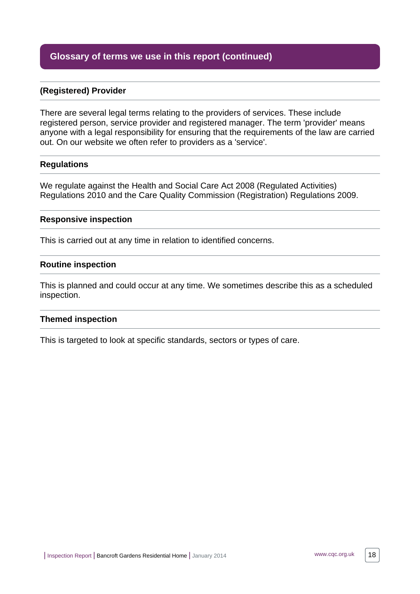#### **Glossary of terms we use in this report (continued)**

#### **(Registered) Provider**

There are several legal terms relating to the providers of services. These include registered person, service provider and registered manager. The term 'provider' means anyone with a legal responsibility for ensuring that the requirements of the law are carried out. On our website we often refer to providers as a 'service'.

#### **Regulations**

We regulate against the Health and Social Care Act 2008 (Regulated Activities) Regulations 2010 and the Care Quality Commission (Registration) Regulations 2009.

#### **Responsive inspection**

This is carried out at any time in relation to identified concerns.

#### **Routine inspection**

This is planned and could occur at any time. We sometimes describe this as a scheduled inspection.

#### **Themed inspection**

This is targeted to look at specific standards, sectors or types of care.